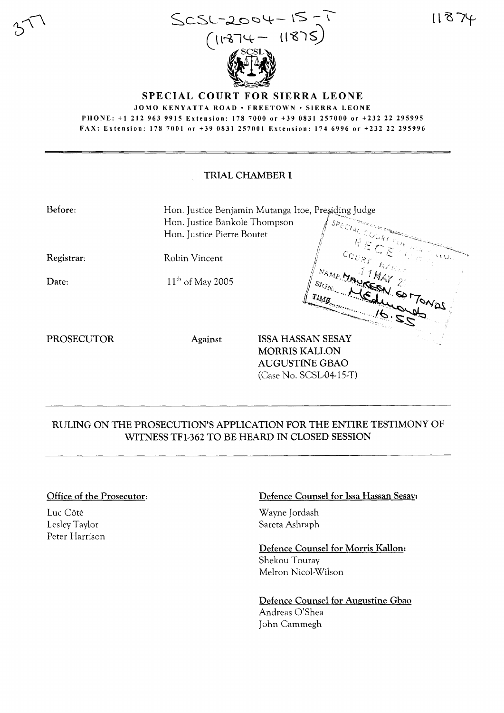

 $11874$ 

#### **SPECIAL COURT FOR SIERRA LEONE** JOMO KENYATTA ROAD • FREETOWN • SIERRA LEONE PHONE: +1 212 963 9915 Extension: 178 7000 or +39 0831 257000 or +232 22 295995 FAX: Extension: 178 7001 or +39 0831 257001 Extension: 174 6996 or +232 22 295996

## **TRIAL CHAMBER I**

| Before:    | Hon. Justice Bankole Thompson<br>Hon. Justice Pierre Boutet | Hon. Justice Benjamin Mutanga Itoe, Presiding Judge<br>$\begin{aligned} \mathcal{SP}_{\mathcal{E}\bigcup_{\mathcal{A}\bigcup \mathcal{L}}\subset \bigcup_{\bigcup_{\mathcal{R}_f}} } \end{aligned}$ |                                  |
|------------|-------------------------------------------------------------|-----------------------------------------------------------------------------------------------------------------------------------------------------------------------------------------------------|----------------------------------|
| Registrar: | Robin Vincent                                               | RECEIVE<br>$c_{c_{U_{\mathcal{R}\mathcal{T}}}}$ $_{b_{\mathcal{L}\mathcal{N}_{\mathcal{R}\mathcal{S}}}}$                                                                                            | $\mathbb{R}^{k}$ kg $\mathbb{R}$ |
| Date:      | $11^{th}$ of May 2005                                       | MAMPUNG VALLEY AMARITING<br>1 SIGN NEdwards                                                                                                                                                         | $2^{2^{i\phi}}$                  |
| PROSECUTOR | Against                                                     | <b>ISSA HASSAN SESAY</b><br><b>MORRIS KALLON</b><br><b>AUGUSTINE GBAO</b><br>$(Case No. SCSL-04-15-T)$                                                                                              |                                  |

# RULING ON THE PROSECUTION'S APPLICATION FOR THE ENTIRE TESTIMONY OF WITNESS TF1-362 TO BE HEARD IN CLOSED SESSION

#### Office of the Prosecutor:

Luc Côté Lesley Taylor Peter Harrison

#### Defence Counsel for Issa Hassan Sesay:

Wayne Jordash Sareta Ashraph

Defence Counsel for Morris Kallon: Shekou Touray Melron Nicol-Wilson

Defence Counsel for Augustine Gbao Andreas O'Shea John Cammegh